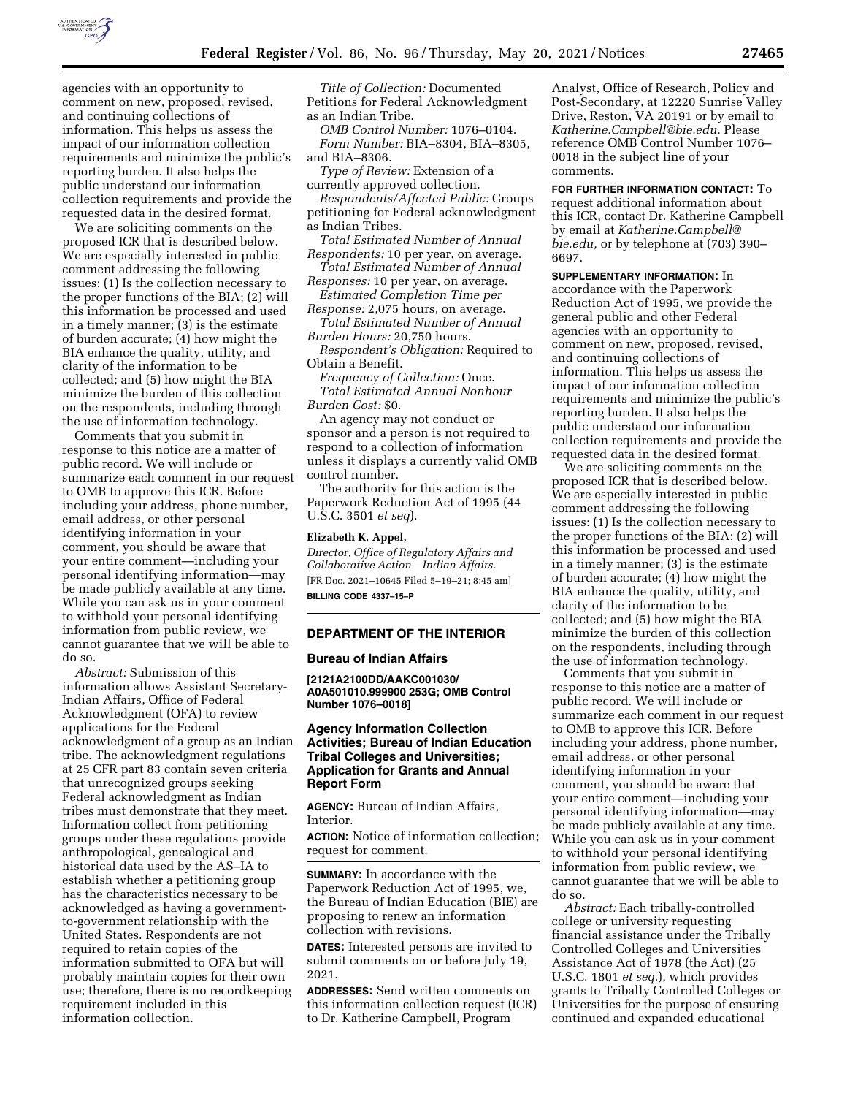

agencies with an opportunity to comment on new, proposed, revised, and continuing collections of information. This helps us assess the impact of our information collection requirements and minimize the public's reporting burden. It also helps the public understand our information collection requirements and provide the requested data in the desired format.

We are soliciting comments on the proposed ICR that is described below. We are especially interested in public comment addressing the following issues: (1) Is the collection necessary to the proper functions of the BIA; (2) will this information be processed and used in a timely manner; (3) is the estimate of burden accurate; (4) how might the BIA enhance the quality, utility, and clarity of the information to be collected; and (5) how might the BIA minimize the burden of this collection on the respondents, including through the use of information technology.

Comments that you submit in response to this notice are a matter of public record. We will include or summarize each comment in our request to OMB to approve this ICR. Before including your address, phone number, email address, or other personal identifying information in your comment, you should be aware that your entire comment—including your personal identifying information—may be made publicly available at any time. While you can ask us in your comment to withhold your personal identifying information from public review, we cannot guarantee that we will be able to do so.

*Abstract:* Submission of this information allows Assistant Secretary-Indian Affairs, Office of Federal Acknowledgment (OFA) to review applications for the Federal acknowledgment of a group as an Indian tribe. The acknowledgment regulations at 25 CFR part 83 contain seven criteria that unrecognized groups seeking Federal acknowledgment as Indian tribes must demonstrate that they meet. Information collect from petitioning groups under these regulations provide anthropological, genealogical and historical data used by the AS–IA to establish whether a petitioning group has the characteristics necessary to be acknowledged as having a governmentto-government relationship with the United States. Respondents are not required to retain copies of the information submitted to OFA but will probably maintain copies for their own use; therefore, there is no recordkeeping requirement included in this information collection.

*Title of Collection:* Documented Petitions for Federal Acknowledgment as an Indian Tribe.

*OMB Control Number:* 1076–0104. *Form Number:* BIA–8304, BIA–8305, and BIA–8306.

*Type of Review:* Extension of a currently approved collection.

*Respondents/Affected Public:* Groups petitioning for Federal acknowledgment as Indian Tribes.

*Total Estimated Number of Annual Respondents:* 10 per year, on average.

*Total Estimated Number of Annual Responses:* 10 per year, on average.

*Estimated Completion Time per Response:* 2,075 hours, on average.

*Total Estimated Number of Annual Burden Hours:* 20,750 hours.

*Respondent's Obligation:* Required to Obtain a Benefit.

*Frequency of Collection:* Once. *Total Estimated Annual Nonhour Burden Cost:* \$0.

An agency may not conduct or sponsor and a person is not required to respond to a collection of information unless it displays a currently valid OMB control number.

The authority for this action is the Paperwork Reduction Act of 1995 (44 U.S.C. 3501 *et seq*).

#### **Elizabeth K. Appel,**

*Director, Office of Regulatory Affairs and Collaborative Action—Indian Affairs.*  [FR Doc. 2021–10645 Filed 5–19–21; 8:45 am] **BILLING CODE 4337–15–P** 

#### **DEPARTMENT OF THE INTERIOR**

#### **Bureau of Indian Affairs**

**[2121A2100DD/AAKC001030/ A0A501010.999900 253G; OMB Control Number 1076–0018]** 

# **Agency Information Collection Activities; Bureau of Indian Education Tribal Colleges and Universities; Application for Grants and Annual Report Form**

**AGENCY:** Bureau of Indian Affairs, **Interior** 

**ACTION:** Notice of information collection; request for comment.

**SUMMARY:** In accordance with the Paperwork Reduction Act of 1995, we, the Bureau of Indian Education (BIE) are proposing to renew an information collection with revisions.

**DATES:** Interested persons are invited to submit comments on or before July 19, 2021.

**ADDRESSES:** Send written comments on this information collection request (ICR) to Dr. Katherine Campbell, Program

Analyst, Office of Research, Policy and Post-Secondary, at 12220 Sunrise Valley Drive, Reston, VA 20191 or by email to *[Katherine.Campbell@bie.edu.](mailto:Katherine.Campbell@bie.edu)* Please reference OMB Control Number 1076– 0018 in the subject line of your comments.

**FOR FURTHER INFORMATION CONTACT:** To request additional information about this ICR, contact Dr. Katherine Campbell by email at *[Katherine.Campbell@](mailto:Katherine.Campbell@bie.edu) [bie.edu,](mailto:Katherine.Campbell@bie.edu)* or by telephone at (703) 390– 6697.

# **SUPPLEMENTARY INFORMATION:** In

accordance with the Paperwork Reduction Act of 1995, we provide the general public and other Federal agencies with an opportunity to comment on new, proposed, revised, and continuing collections of information. This helps us assess the impact of our information collection requirements and minimize the public's reporting burden. It also helps the public understand our information collection requirements and provide the requested data in the desired format.

We are soliciting comments on the proposed ICR that is described below. We are especially interested in public comment addressing the following issues: (1) Is the collection necessary to the proper functions of the BIA; (2) will this information be processed and used in a timely manner; (3) is the estimate of burden accurate; (4) how might the BIA enhance the quality, utility, and clarity of the information to be collected; and (5) how might the BIA minimize the burden of this collection on the respondents, including through the use of information technology.

Comments that you submit in response to this notice are a matter of public record. We will include or summarize each comment in our request to OMB to approve this ICR. Before including your address, phone number, email address, or other personal identifying information in your comment, you should be aware that your entire comment—including your personal identifying information—may be made publicly available at any time. While you can ask us in your comment to withhold your personal identifying information from public review, we cannot guarantee that we will be able to do so.

*Abstract:* Each tribally-controlled college or university requesting financial assistance under the Tribally Controlled Colleges and Universities Assistance Act of 1978 (the Act) (25 U.S.C. 1801 *et seq.*), which provides grants to Tribally Controlled Colleges or Universities for the purpose of ensuring continued and expanded educational